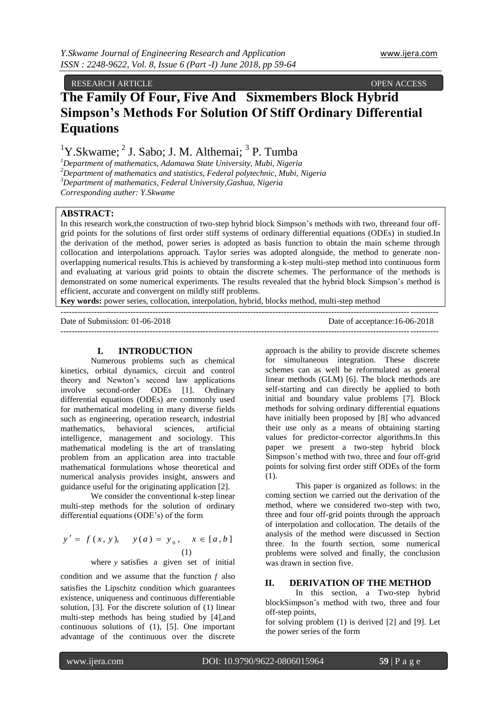# RESEARCH ARTICLE **CONSERVERS** OPEN ACCESS OPEN ACCESS

# **The Family Of Four, Five And Sixmembers Block Hybrid Simpson's Methods For Solution Of Stiff Ordinary Differential Equations**

 ${}^{1}Y.Sk$ wame;  ${}^{2}$  J. Sabo; J. M. Althemai;  ${}^{3}$  P. Tumba

*Department of mathematics, Adamawa State University, Mubi, Nigeria Department of mathematics and statistics, Federal polytechnic, Mubi, Nigeria Department of mathematics, Federal University,Gashua, Nigeria Corresponding auther: Y.Skwame*

## **ABSTRACT:**

In this research work,the construction of two-step hybrid block Simpson's methods with two, threeand four offgrid points for the solutions of first order stiff systems of ordinary differential equations (ODEs) in studied.In the derivation of the method, power series is adopted as basis function to obtain the main scheme through collocation and interpolations approach. Taylor series was adopted alongside, the method to generate nonoverlapping numerical results.This is achieved by transforming a k-step multi-step method into continuous form and evaluating at various grid points to obtain the discrete schemes. The performance of the methods is demonstrated on some numerical experiments. The results revealed that the hybrid block Simpson's method is efficient, accurate and convergent on mildly stiff problems.

**Key words:** power series, collocation, interpolation, hybrid, blocks method, multi-step method

| Date of Submission: $01-06-2018$ | Date of acceptance:16-06-2018 |
|----------------------------------|-------------------------------|
|                                  |                               |

## **I. INTRODUCTION**

Numerous problems such as chemical kinetics, orbital dynamics, circuit and control theory and Newton's second law applications involve second-order ODEs [1]. Ordinary differential equations (ODEs) are commonly used for mathematical modeling in many diverse fields such as engineering, operation research, industrial mathematics, behavioral sciences, artificial intelligence, management and sociology. This mathematical modeling is the art of translating problem from an application area into tractable mathematical formulations whose theoretical and numerical analysis provides insight, answers and guidance useful for the originating application [2].

We consider the conventional k-step linear multi-step methods for the solution of ordinary differential equations (ODE's) of the form

$$
y' = f(x, y), \quad y(a) = y_0, \quad x \in [a, b]
$$
\n(1)

where *y* satisfies a given set of initial

condition and we assume that the function *f* also satisfies the Lipschitz condition which guarantees existence, uniqueness and continuous differentiable solution, [3]. For the discrete solution of (1) linear multi-step methods has being studied by [4],and continuous solutions of (1), [5]. One important advantage of the continuous over the discrete

approach is the ability to provide discrete schemes for simultaneous integration. These discrete schemes can as well be reformulated as general linear methods (GLM) [6]. The block methods are self-starting and can directly be applied to both initial and boundary value problems [7]. Block methods for solving ordinary differential equations have initially been proposed by [8] who advanced their use only as a means of obtaining starting values for predictor-corrector algorithms.In this paper we present a two-step hybrid block Simpson's method with two, three and four off-grid points for solving first order stiff ODEs of the form (1).

This paper is organized as follows: in the coming section we carried out the derivation of the method, where we considered two-step with two, three and four off-grid points through the approach of interpolation and collocation. The details of the analysis of the method were discussed in Section three. In the fourth section, some numerical problems were solved and finally, the conclusion was drawn in section five.

# **II. DERIVATION OF THE METHOD**

In this section, a Two-step hybrid blockSimpson's method with two, three and four off-step points,

for solving problem (1) is derived [2] and [9]. Let the power series of the form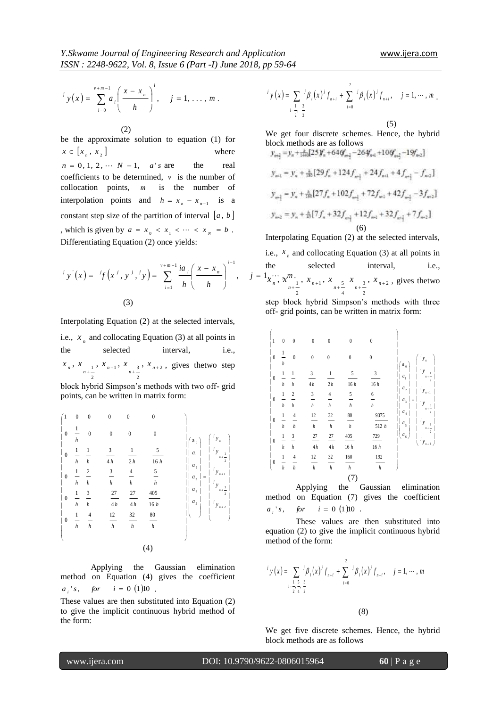$$
j_{y}(x) = \sum_{i=0}^{y+m-1} a_i \left( \frac{x-x_n}{h} \right)^i, \quad j = 1, ..., m.
$$

(2)

be the approximate solution to equation (1) for  $x \in \left[ x_{n}, x_{2} \right]$ where  $n = 0, 1, 2, \cdots N - 1, \quad a's$  are the real coefficients to be determined,  $v$  is the number of collocation points, *m* is the number of interpolation points and  $h = x_n - x_{n-1}$  is a constant step size of the partition of interval  $[a, b]$ , which is given by  $a = x_0 < x_1 < \cdots < x_N = b$ . Differentiating Equation (2) once yields:

$$
\int_{a}^{j} y'(x) dx = \int_{a}^{j} f(x^{j}, y^{j}, y') dx = \sum_{i=1}^{n+m-1} \frac{ia_{i}}{h} \left( \frac{x - x_{n}}{h} \right)^{i-1}, \quad j = 1_{x_{n}^{i+1}}, x_{n+1}^{m}.
$$
\n(3)

Interpolating Equation (2) at the selected intervals, i.e.,  $x_n$  and collocating Equation (3) at all points in the selected interval, i.e., 2 2  $1, \frac{\pi}{3}$  3 2  $x_n$ ,  $x_{n+1}$ ,  $x_{n+1}$ ,  $x_{n+2}$ , gives the two step block hybrid Simpson's methods with two off- grid

points, can be written in matrix form:

$$
\begin{pmatrix}\n1 & 0 & 0 & 0 & 0 & 0 \\
0 & \frac{1}{h} & 0 & 0 & 0 & 0 \\
\hline\n0 & \frac{1}{h} & \frac{1}{h} & \frac{3}{4h} & \frac{1}{2h} & \frac{5}{16h} & \begin{vmatrix} a_0 \\ a_0 \\ a_1 \\ a_2 \\ \hline\n0 \\ a_3 \end{vmatrix} & \begin{pmatrix} y_n \\ y_n \\ y_{n+1} \\ y_{n+1} \\ \hline\n0 \\ a_2 \end{pmatrix}
$$
\n
$$
\begin{pmatrix}\n1 & 0 & 0 & 0 & 0 \\
0 & \frac{1}{h} & \frac{1}{h} & \frac{3}{4h} & \frac{1}{2h} & \frac{5}{16h} \\
\hline\n0 & \frac{1}{h} & \frac{3}{h} & \frac{27}{h} & \frac{27}{h} & \frac{405}{h} & \begin{vmatrix} a_0 \\ a_1 \\ a_2 \\ \hline\n0 \\ a_3 \end{vmatrix} & \begin{vmatrix} a_1 \\ a_2 \\ a_3 \\ \hline\n0 \\ a_4 \end{vmatrix} & \begin{vmatrix} y_0 \\ y_{n+1} \\ y_{n+2} \\ \hline\n0 \\ y_{n+2} \end{vmatrix}
$$
\n
$$
\begin{pmatrix}\n1 & 4 & \frac{12}{h} & \frac{32}{h} & \frac{30}{h} & \frac{80}{h} \\
\hline\n0 & 4 & \frac{12}{h} & \frac{32}{h} & \frac{80}{h} & \frac{80}{h} \\
\hline\n0 & 4 & \frac{1}{2} & \frac{32}{2h} & \frac{80}{2h} & \frac{80}{2h} \\
\hline\n0 & 4 & \frac{1}{2} & \frac{32}{2h} & \frac{80}{2h} & \frac{80}{2h} \\
\hline\n0 & 4 & \frac{1}{2} & \frac{32}{2h} & \frac{80}{2h} & \frac{80}{2h} \\
\hline\n0 & 4 & \frac{1}{2} & \frac{32}{2h} & \frac{80}{2h} & \frac{80}{2h} & \frac{1}{2h} \\
\hline\n0 & 4 & \frac{1}{2} & \frac{32}{2h} & \frac{32}{2h} & \frac{80}{2h} & \frac{1}{
$$

Applying the Gaussian elimination method on Equation (4) gives the coefficient  $a_i$ 's, *for*  $i = 0$  (1)10.

These values are then substituted into Equation (2) to give the implicit continuous hybrid method of the form:

$$
j' y(x) = \sum_{\substack{i=1, \ 2 \ j \geq 2}} j \beta_i(x)^j f_{n+i} + \sum_{i=0}^{2} j \beta_i(x)^j f_{n+i}, \quad j = 1, \dots, m
$$
\n(5)

We get four discrete schemes. Hence, the hybrid block methods are as follows<br> $v_{x} = v_{x} + \frac{1}{25} [25t^{2} + 646t^{2}] - 264t^{2} + 106t^{2} - 19t^{2}$ 

$$
y_{m4} = y_n + \frac{1}{120} [29f_n + 124f_{m4} + 24f_{m4} + 4f_{m4} - f_{m2}]
$$
  
\n
$$
y_{m4} = y_n + \frac{1}{120} [29f_n + 124f_{m4} + 24f_{m4} + 4f_{m4} - f_{m2}]
$$
  
\n
$$
y_{m4} = y_n + \frac{1}{120} [27f_n + 102f_{m4} + 72f_{m1} + 42f_{m4} - 3f_{m2}]
$$
  
\n
$$
y_{m2} = y_n + \frac{1}{42} [7f_n + 32f_{m4} + 12f_{m1} + 32f_{m4} + 7f_{m2}]
$$
  
\n(6)

Interpolating Equation (2) at the selected intervals, i.e.,  $x_n$  and collocating Equation (3) at all points in the selected interval, i.e., 2 2 3 4  $1, \frac{\pi}{1}$  5 2  $x_{n}^{n}$ ,  $x_{n+1}^{m}$ ,  $x_{n+1}$ ,  $x_{n+2}^{n}$ ,  $x_{n+3}^{n}$ ,  $x_{n+2}$ , gives thetwo

step block hybrid Simpson's methods with three off- grid points, can be written in matrix form:

| $\mathbf{1}$     | $\boldsymbol{0}$  | $\boldsymbol{0}$ | $\boldsymbol{0}$ | $\theta$         | $\theta$         | $\theta$         |                                           |
|------------------|-------------------|------------------|------------------|------------------|------------------|------------------|-------------------------------------------|
| $\boldsymbol{0}$ | $\mathbf{1}$<br>h | $\mathbf{0}$     | $\boldsymbol{0}$ | $\mathbf{0}$     | $\boldsymbol{0}$ | $\theta$         | $y_{n}$<br>$\mathbf{a}_{_{\,0}}$          |
| $\overline{0}$   | 1                 | 1                | 3                | 1                | 5                | $\sqrt{3}$       | $\mathbf{v}$<br>$a_{1}$<br>$n +$          |
|                  | $\boldsymbol{h}$  | $\boldsymbol{h}$ | 4h               | 2h               | 16h              | $16\ h$          | $\boldsymbol{a}_{\scriptscriptstyle 2}$   |
| $\overline{0}$   | 1                 | $\overline{2}$   | $\mathbf{3}$     | $\overline{4}$   | 5                | $\boldsymbol{6}$ | $y_{_{n+1}}$<br>$a_{\frac{1}{3}}$<br>$=$  |
|                  | $\boldsymbol{h}$  | $\boldsymbol{h}$ | $\boldsymbol{h}$ | $\boldsymbol{h}$ | h                | $\boldsymbol{h}$ | y                                         |
| $\overline{0}$   | 1                 | $\overline{4}$   | $12\,$           | 32               | $80\,$           | 9375             | $\boldsymbol{a}_4$<br>$^j\,y$             |
|                  | $\boldsymbol{h}$  | $\boldsymbol{h}$ | $\boldsymbol{h}$ | $\boldsymbol{h}$ | $\boldsymbol{h}$ | 512 h            | $a_{\scriptscriptstyle{5}}$<br>$\sqrt{3}$ |
| $\overline{0}$   | 1                 | 3                | $27\,$           | $27\,$           | 405              | 729              | $a_{6}$                                   |
|                  | h                 | $\boldsymbol{h}$ | $4\,h$           | 4h               | 16h              | $16\ h$          | $y_{n+2}$ )                               |
| $\mathbf{0}$     | 1                 | $\overline{4}$   | 12               | 32               | 160              | 192              |                                           |
|                  | $\boldsymbol{h}$  | $\boldsymbol{h}$ | $\boldsymbol{h}$ | $\boldsymbol{h}$ | $\boldsymbol{h}$ | $\boldsymbol{h}$ |                                           |
|                  |                   |                  |                  |                  | (7)              |                  |                                           |

Applying the Gaussian elimination method on Equation (7) gives the coefficient  $a_i$ 's, *for*  $i = 0$  (1)10.

These values are then substituted into equation (2) to give the implicit continuous hybrid method of the form:

$$
j_{y}(x) = \sum_{\substack{i=1, \, 5, \, 3, \\ i \neq j}} \frac{i \beta_{i}(x)^{j} f_{n+i} + \sum_{i=0}^{2} \frac{i \beta_{i}(x)^{j} f_{n+i}}{(x)^{j} f_{n+i}}, \quad j = 1, \cdots, m
$$
\n(8)

We get five discrete schemes. Hence, the hybrid block methods are as follows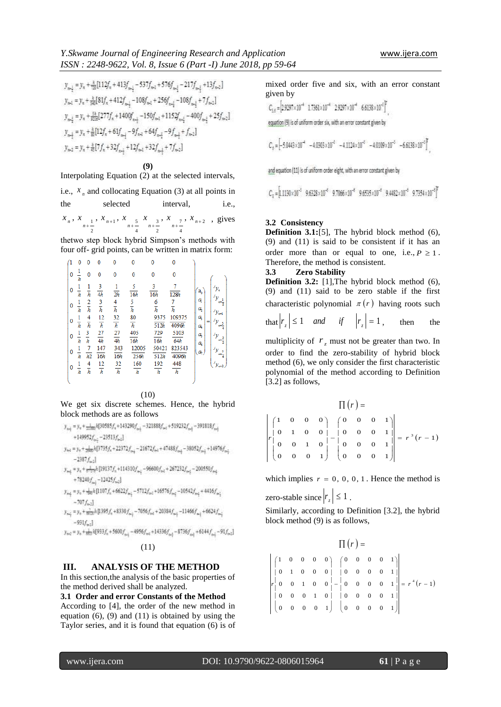$$
\begin{aligned} y_{m\frac{1}{2}}&=y_{n}+\tfrac{k}{120}[112f_{n}+413f_{m\frac{1}{2}}-537f_{n\text{e}1}+576f_{m\frac{1}{2}}-217f_{m\frac{1}{2}}+13f_{n\text{e}2}]\\ y_{n\text{e}1}&=y_{n}+\tfrac{k}{340}[81f_{n}+412f_{m\frac{1}{2}}-108f_{n\text{e}1}+256f_{m\frac{3}{2}}-108f_{m\frac{3}{2}}+7f_{n\text{e}2}]\\ y_{m\frac{3}{2}}&=y_{n}+\tfrac{58}{9216}[277f_{n}+1400f_{m\frac{1}{2}}-150f_{m\text{e}1}+1152f_{m\frac{3}{2}}-400f_{m\frac{3}{2}}+25f_{m\text{e}2}]\\ y_{m\frac{3}{2}}&=y_{n}+\tfrac{k}{80}[12f_{n}+61f_{m\frac{3}{2}}-9f_{n\text{e}1}+64f_{m\frac{3}{2}}-9f_{m\frac{3}{2}}+f_{m\text{e}1}]\\ y_{n\text{e}1}&=y_{n}+\tfrac{k}{43}[7f_{n}+32f_{m\frac{3}{2}}+12f_{m\text{e}1}+32f_{m\frac{1}{2}}+7f_{m\text{e}2}] \end{aligned}
$$

# **(9)**

Interpolating Equation (2) at the selected intervals, i.e.,  $x_n$  and collocating Equation (3) at all points in the selected interval, i.e.,

2 4 7 2 3 4  $1, 5, 5$ 2  $x_n$ ,  $x_{n+1}$ ,  $x_{n+1}$ ,  $x_{n+2}$ ,  $x_{n+2}$ ,  $x_{n+2}$ , gives

thetwo step block hybrid Simpson's methods with four off- grid points, can be written in matrix form:

|              | 0                   | 0                   | 0                     | 0                     | n                     | ٥                     | 0                     |                                                       |
|--------------|---------------------|---------------------|-----------------------|-----------------------|-----------------------|-----------------------|-----------------------|-------------------------------------------------------|
| 0            | $\frac{1}{h}$       | 0                   | 0                     | 0                     | 0                     | 0                     | 0                     |                                                       |
| 0            | 1<br>$\frac{1}{h}$  | 1<br>h              | 3<br>4h               | 1<br>2h               | 5<br>16h              | 3<br>16h              | 7<br>128h             | a,                                                    |
| $\mathbf{0}$ | $\frac{1}{h}$       | 2<br>$\bar{\bar h}$ | $\frac{3}{h}$         | 4<br>$\bar{h}$        | $rac{5}{h}$           | 6<br>$\bar{h}$        | 7<br>ħ                | ą<br>a,<br>$y_{n+1}$                                  |
| 0            | $\frac{1}{h}$       | 4<br>$\bar{h}$      | 12<br>$\overline{h}$  | 32<br>$\overline{h}$  | 80<br>$\overline{h}$  | 9375<br>512h          | 109375<br>4096h       | ą<br>=<br>$a_{\!\scriptscriptstyle 4}$                |
| 0            | 1<br>$\overline{h}$ | 3<br>$\bar{h}$      | 27<br>$\overline{4h}$ | 27<br>4h              | 405<br>16h            | 729<br>16h            | 5103<br>64h           | a,<br>$\frac{1}{\nu}$<br>$a_{\!\scriptscriptstyle 6}$ |
| 0            | 1<br>$\overline{h}$ | 7<br>h2             | 147<br>16h            | 343<br>$\frac{1}{6h}$ | 12005<br>256h         | 50421<br>512h         | 823543<br>4096h       | $I_{\mathcal{V}}$<br>$a_{i}$                          |
| 0            | $\frac{1}{h}$       | 4<br>$\bar{h}$      | 12<br>$\overline{h}$  | 32<br>$\overline{h}$  | 160<br>$\overline{h}$ | 192<br>$\overline{h}$ | 448<br>$\overline{h}$ |                                                       |
|              |                     |                     |                       |                       |                       |                       |                       |                                                       |



We get six discrete schemes. Hence, the hybrid block methods are as follows

$$
\begin{aligned} \mathcal{Y}_{n\!+\!\frac{1}{2}}&= \mathcal{Y}_v + \frac{1}{2(160)}\mathcal{h}[9585f_v + 143290f_{n\!+\!j} - 321888f_{w\!+\!j} + 519232f_{n\!+\!j} - 391818f_{n\!+\!j} \\ &+ 149952f_{n\!+\!j} - 23513f_{n\!+\!j}] \\ \mathcal{Y}_{n\!+\!1}&= \mathcal{Y}_v + \frac{1}{2(160)}\mathcal{h}[3735f_v + 22372f_{n\!+\!j} - 21672f_{n\!+\!j} + 47488f_{n\!+\!j} - 38052f_{n\!+\!j} + 14976f_{n\!+\!j} \\ &- 2387f_{n\!+\!j}]\end{aligned}\\ \begin{aligned} \mathcal{Y}_{n\!+\!j}&= y_v + \frac{1}{2(160)}\mathcal{h}[19137f_v + 114310f_{n\!+\!j} - 96600f_{n\!+\!j} + 267231f_{n\!+\!j} - 200550f_{n\!+\!j} \\ &+ 78240f_{n\!+\!j} - 12425f_{n\!+\!j} \end{aligned}\\ \begin{aligned} \mathcal{Y}_{n\!+\!j}&= y_v + \frac{1}{2(160)}\mathcal{h}[1107f_v + 6622f_{n\!+\!j} - 5712f_{n\!+\!1} + 16576f_{n\!+\!j} - 10542f_{n\!+\!j} + 4416f_{n\!+\!j} \\ &- 707f_{n\!+\!j}]\end{aligned}\\ \mathcal{Y}_{n\!+\!j}&= y_v + \frac{1}{800}\mathcal{h}[933f_v + 8330f_{n\!+\!j} - 7056f_{n\!+\!i} + 20384f_{n\!+\!j} - 11466f_{n\!+\!j} + 6624f_{n\!+\!j} \\ &- 931f_{n\!+\!j}]\end{aligned}\\ \mathcal{Y}_{n\!+\!j}&= y_v + \frac{1}{800
$$

(11)

### **III. ANALYSIS OF THE METHOD**

In this section,the analysis of the basic properties of the method derived shall be analyzed.

**3.1 Order and error Constants of the Method** According to [4], the order of the new method in equation  $(6)$ ,  $(9)$  and  $(11)$  is obtained by using the Taylor series, and it is found that equation (6) is of mixed order five and six, with an error constant given by

 $C_{14} = \begin{bmatrix} 2.9297 \times 10^{-4} & 1.7361 \times 10^{-4} & 2.9297 \times 10^{-4} & 6.6138 \times 10^{-4} \end{bmatrix}^T$ equation [9] is of uniform order six, with an error constant given by  $C_6 = \begin{bmatrix} -5.0443 \times 10^{-4} & -4.0903 \times 10^{-5} & -4.1124 \times 10^{-5} & -4.0109 \times 10^{-5} & -6.6138 \times 10^{-5} \end{bmatrix}$ 

and equation (11) is of uniform order eight, with an error constant given by

 $C_7 = 11130 \times 10^{-3}$  9.6328×10<sup>-4</sup> 9.7066×10<sup>-4</sup> 9.6535×10<sup>-4</sup> 9.4482×10<sup>-4</sup> 9.7354×10<sup>-5]7</sup>

#### **3.2 Consistency**

**Definition 3.1:**[5], The hybrid block method (6), (9) and (11) is said to be consistent if it has an order more than or equal to one, i.e.,  $P \ge 1$ . Therefore, the method is consistent.

#### **3.3 Zero Stability**

**Definition 3.2:** [1],The hybrid block method (6), (9) and (11) said to be zero stable if the first characteristic polynomial  $\pi(r)$  having roots such that  $|r_z| \leq 1$  and if  $|r_z| = 1$ then the

multiplicity of  $r<sub>z</sub>$  must not be greater than two. In order to find the zero-stability of hybrid block method (6), we only consider the first characteristic polynomial of the method according to Definition [3.2] as follows,

$$
\Pi(r) = \begin{vmatrix}\n1 & 0 & 0 & 0 \\
0 & 1 & 0 & 0 \\
0 & 0 & 1 & 0 \\
0 & 0 & 0 & 1\n\end{vmatrix} \begin{vmatrix}\n0 & 0 & 0 & 1 \\
0 & 0 & 0 & 1 \\
0 & 0 & 0 & 1\n\end{vmatrix} = r^{3}(r - 1)
$$

which implies  $r = 0, 0, 0, 1$ . Hence the method is zero-stable since  $|r_z| \leq 1$ .

Similarly, according to Definition [3.2], the hybrid block method (9) is as follows,

|  |  |  | $\Pi(r)$ = |  |                                                                                                                                                                                                                                                                                                                             |  |
|--|--|--|------------|--|-----------------------------------------------------------------------------------------------------------------------------------------------------------------------------------------------------------------------------------------------------------------------------------------------------------------------------|--|
|  |  |  |            |  | $\begin{bmatrix} 1 & 0 & 0 & 0 & 0 \\ 0 & 1 & 0 & 0 & 0 & 0 \\ 0 & 0 & 1 & 0 & 0 & - & 0 \\ 0 & 0 & 0 & 1 & 0 & 0 & - & 0 \\ 0 & 0 & 0 & 1 & 0 & 0 & 0 & 0 \\ 0 & 0 & 0 & 0 & 1 & 0 & 0 & 0 \\ 0 & 0 & 0 & 0 & 1 & 0 & 0 & 0 \\ 0 & 0 & 0 & 0 & 1 & 0 & 0 & 0 \\ 0 & 0 & 0 & 0 & 0 & 1 & 0 & 0 \\ \end{bmatrix} = r^4(r-1)$ |  |
|  |  |  |            |  |                                                                                                                                                                                                                                                                                                                             |  |
|  |  |  |            |  |                                                                                                                                                                                                                                                                                                                             |  |
|  |  |  |            |  |                                                                                                                                                                                                                                                                                                                             |  |
|  |  |  |            |  |                                                                                                                                                                                                                                                                                                                             |  |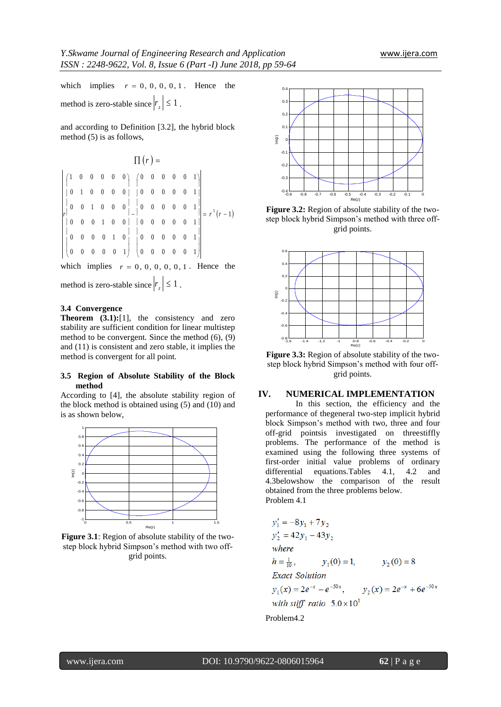which implies  $r = 0, 0, 0, 0, 1$ . Hence the method is zero-stable since  $|r_z| \leq 1$ .

and according to Definition [3.2], the hybrid block method (5) is as follows,

$$
\Pi(r) =
$$
\n
$$
\begin{vmatrix}\n1 & 0 & 0 & 0 & 0 & 0 \\
0 & 1 & 0 & 0 & 0 & 0 \\
0 & 0 & 1 & 0 & 0 & 0\n\end{vmatrix}\n\begin{vmatrix}\n0 & 0 & 0 & 0 & 0 & 1 \\
0 & 0 & 0 & 0 & 0 & 1 \\
0 & 0 & 0 & 1 & 0 & 0 \\
0 & 0 & 0 & 1 & 0 & 0\n\end{vmatrix} = r^{5}(r-1)
$$
\n
$$
\begin{vmatrix}\n0 & 0 & 0 & 0 & 1 & 0 \\
0 & 0 & 0 & 0 & 1 & 0 \\
0 & 0 & 0 & 0 & 0 & 1\n\end{vmatrix} = r^{5}(r-1)
$$

which implies  $r = 0, 0, 0, 0, 0, 1$ . Hence the method is zero-stable since  $|r_z| \leq 1$ .

#### **3.4 Convergence**

**Theorem (3.1):**[1], the consistency and zero stability are sufficient condition for linear multistep method to be convergent. Since the method (6), (9) and (11) is consistent and zero stable, it implies the method is convergent for all point.

#### **3.5 Region of Absolute Stability of the Block method**

According to [4], the absolute stability region of the block method is obtained using (5) and (10) and is as shown below,



Figure 3.1: Region of absolute stability of the twostep block hybrid Simpson's method with two offgrid points.



**Figure 3.2:** Region of absolute stability of the twostep block hybrid Simpson's method with three offgrid points.



**Figure 3.3:** Region of absolute stability of the twostep block hybrid Simpson's method with four offgrid points.

# **IV. NUMERICAL IMPLEMENTATION**

In this section, the efficiency and the performance of thegeneral two-step implicit hybrid block Simpson's method with two, three and four off-grid pointsis investigated on threestiffly problems. The performance of the method is examined using the following three systems of first-order initial value problems of ordinary differential equations.Tables 4.1, 4.2 and 4.3belowshow the comparison of the result obtained from the three problems below. Problem 4.1

$$
y'_{1} = -8y_{1} + 7y_{2}
$$
  
\n
$$
y'_{2} = 42y_{1} - 43y_{2}
$$
  
\nwhere  
\n
$$
h = \frac{1}{10}, \qquad y_{1}(0) = 1, \qquad y_{2}(0) = 8
$$
  
\nExact Solution  
\n
$$
y_{1}(x) = 2e^{-x} - e^{-50x}, \qquad y_{2}(x) = 2e^{-x} + 6e^{-50x}
$$
  
\nwith stiff ratio  $5.0 \times 10^{1}$   
\nProblem4.2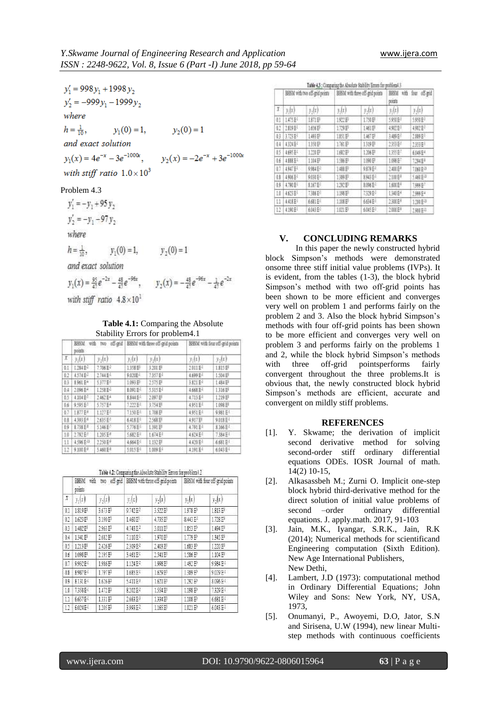| $y'_1 = 998y_1 + 1998y_2$                                           |  |
|---------------------------------------------------------------------|--|
| $y'_2 = -999y_1 - 1999y_2$                                          |  |
| where                                                               |  |
| $h = \frac{1}{10}$ , $y_1(0) = 1$ , $y_2(0) = 1$                    |  |
| and exact solution                                                  |  |
| $y_1(x) = 4e^{-x} - 3e^{-100x}$ , $y_2(x) = -2e^{-x} + 3e^{-1000x}$ |  |
| with stiff ratio $1.0 \times 10^3$                                  |  |

| Problem 4.3 |  |
|-------------|--|
|-------------|--|

 $y'_1 = -y_1 + 95y_2$  $y'_2 = -y_1 - 97y_2$ 

$$
y_2 - y_1 -
$$

where

 $h = \frac{1}{10}$ ,  $y_1(0) = 1$ ,  $y_2(0) = 1$ 

and exact solution

$$
y_1(x) = \frac{95}{47}e^{-2x} - \frac{48}{47}e^{-96x}, \qquad y_2(x) = -\frac{48}{47}e^{-96x} - \frac{1}{47}e^{-2x}
$$

with stiff ratio  $4.8 \times 10^1$ 

**Table 4.1:** Comparing the Absolute Stability Errors for problem4.1

|     | <b>BH5M</b><br>off-md<br>with two<br>points: |                      | BHSM with three off-grid points |                      | BEISM with four off-grid points |                       |
|-----|----------------------------------------------|----------------------|---------------------------------|----------------------|---------------------------------|-----------------------|
| I.  | $y_1(x)$                                     | $y_2(x)$             | 近灯                              | $y_2(x)$             | $y_1(x)$                        | $y_2(x)$              |
| 0.1 | 1.384 E-2                                    | 7.706E <sup>2</sup>  | 1358世                           | 3201日                | 2011 E-                         | 1835日                 |
| 62  | 4534E <sup>2</sup>                           | 2.744 E-L            | 9.620E-L                        | 7357E                | 4.699 E-1                       | 1504日                 |
| ΰâ  | 1961 E <sup>+</sup>                          | 5377E <sup>3</sup>   | 1093E                           | 2575日                | 3.821 E-1                       | 1484日                 |
| 敌   | $2.096E +$                                   | 1.158 E-L            | E091 E-L                        | 5315E-               | 4.668 E-1                       | 1316日                 |
| 85  | 4104E <sup>4</sup>                           | 2.462 E <sup>4</sup> | ESHE-                           | 2.097日               | 4.715 EF                        | 1219日                 |
| 0.6 | 9.985 E-F                                    | 5.757 E-F            | 3.222 E-L                       | 3.754日               | 4951 E <sup>1</sup>             | 1.098 日               |
| 4.7 | 1.877 E*                                     | 1.127 E <sup>1</sup> | T150 E4                         | 1.708円               | 4951 E-                         | 9.981 E <sup>1</sup>  |
| 68  | 4393E*                                       | 2635E <sup>4</sup>   | 6418 E-1                        | 2568 E               | 4917E                           | 9.018 E <sup>1</sup>  |
| 89  | <b>8.738 EM</b>                              | 5.146 E <sup>3</sup> | 5,776 BF                        | 1.91开                | 4.791 E-F                       | 8.166 E <sup>1</sup>  |
| 10  | 2.792 E                                      | $1.205E+$            | 5.682 E <sup>-1</sup>           | 1674E                | 4634E7                          | $7.384E$ <sup>4</sup> |
| 1.1 | 4.96 日                                       | 2250 E*              | 4,664 E-                        | L132.EF              | 4420 E <sup>1</sup>             | 6.681 E <sup>1</sup>  |
| 12  | $9.100E +$                                   | 5.460 E <sup>1</sup> | 5.015 E-                        | 1.009 E <sup>1</sup> | 4191 日                          | 4043 E-1              |

|  | Table 4.2: Comparing the Absolute Stability Errors for problem4.2 |                                                                                                                                                                                                                             |
|--|-------------------------------------------------------------------|-----------------------------------------------------------------------------------------------------------------------------------------------------------------------------------------------------------------------------|
|  |                                                                   | Application 2010   MEMORIA MARKET AND LONGITUDE AND LONGITUDE AND LONGITUDE AND LONGITUDE AND LONGITUDE AND LONGITUDE AND LONGITUDE AND LONGITUDE AND LONGITUDE AND LONGITUDE AND LONGITUDE AND LONGITUDE AND LONGITUDE AND |

|     | <b>BRAM</b><br>WILL.<br>pouts |                 |                            | AND OFF-ROO DEED A AND SERVE ON-ROO DUES | ECOVA ARD YALI OLI-SHO DAERS |                              |
|-----|-------------------------------|-----------------|----------------------------|------------------------------------------|------------------------------|------------------------------|
| ï   | $T_1(x)$                      | $y_{\gamma}(x)$ | $\mathbf{r}_i(\mathbf{x})$ | $\mathbf{y}_2(\mathbf{x})$               | $y_i(x)$                     | $\mathcal{Y}_2(\mathcal{I})$ |
| ÙĪ. | 1819 F                        | 36THP           | 910F                       | 3502职                                    | 1978FP                       | 1813E <sup>0</sup>           |
| 赶   | 1623日                         | 31频野            | 1460秒                      | 471519                                   | 84055                        | 173F                         |
| 03  | 148217                        | 296FP           | 机钢钢                        | 34日记                                     | 183F                         | 1494 E                       |
| 04  | 134EF                         | 2602野           | 711033                     | 1970秒                                    | 111912                       | 1369                         |
| 盱   | 1281                          | 2459            | 23的图                       | 248秒                                     | 1683到                        | 1220F                        |
| Ũ£  | 1093日                         | 21%FP           | 34月15日                     | 2541股                                    | 1586FP                       | 1104EF                       |
| 盯   | 9932E-L                       | 1,986 EP        | <b>IME</b>                 | 19%秒                                     | 140秒                         | 9984E <sup>1</sup>           |
| 08  | 1937F <sup>1</sup>            | 1.797 EP        | 1,685.5%                   | 162912                                   | 1389秒                        | 9.079 E-1                    |
| 09  | E[3]E <sup>1</sup>            | 1636码           | SANE                       | 16月刊                                     | 1792.87                      | \$196 F-1                    |
| 10  | <b>1338F-1</b>                | 14729           | 8300 E <sup>1</sup>        | 154秒                                     | 119812                       | 7339F1                       |
| 11  | 6637F-L                       | 1991到           | 266353                     | 134秒                                     | 110812                       | 6681 E <sup>1</sup>          |
| 12  | 6024E-                        | 1205FP          | 39915-1                    | 116F                                     | 101F                         | 6043E1                       |

|  | Table 4.3 : Communa the Absolute Stability Errans far problem4.3 |
|--|------------------------------------------------------------------|
|  |                                                                  |

|               |                      | BESM with two off-grid points |          | BHSM with three off-god points | off-gid<br>BHSM<br>till for<br>points |                      |
|---------------|----------------------|-------------------------------|----------|--------------------------------|---------------------------------------|----------------------|
| $\mathcal{X}$ | y(x)                 | $T_2 T $                      | L(x)     | r(x)                           | $y_i(x)$                              | $I_2(x)$             |
| 41            | 1435E                | 1871F                         | 1927F    | 1.79F                          | 5950 E-                               | 5.990 E <sup>3</sup> |
| 62            | 2819E                | 1606日                         | 1729 EP  | 1461日                          | 4902B1                                | 4.902 E-             |
| 63            | 3173E                | 1499日                         | 1351 EP  | 1461 EF                        | 3.489 E-                              | 1889E                |
| 44            | 4324E4               | 135EP                         | 1:16E EP | 1319日                          | 2351E                                 | 119E                 |
| 85            | 报纸                   | 1.23kBP                       | 1602FP   | 1206日                          | 1355 E                                | 6.043 E <sup>4</sup> |
| 妊             | 4583EL               | 1104日                         | 138秒     | 10%日                           | 10%日                                  | 7.194 E-             |
| ü             | 4347 E4              | 9984 E-2                      | 1488 EP  | 987961                         | 2,400 EM                              | T068E-P              |
| ü             | 4%形                  | 9.011 日                       | 1389 EP  | 8941E1                         | 2100日                                 | 全相長                  |
| 妊             | 4.790 E-             | 8.167 E <sup>3</sup>          | 1197EP   | 8.096 E-1                      | $1.600E$ <sup>4</sup>                 | 1999 E <sup>-1</sup> |
| и             | 463E                 | 7386E <sup>3</sup>            | 1195EP   | 7329 B                         | 1340日                                 | 2.999.974            |
| и             | 4418E                | 6681E                         | 1106 E   | 6634E                          | 2300 B                                | 1304日                |
| 12            | 4.190 E <sup>1</sup> | 60日日                          | 1.02E EP | 6045E3                         | 2000E <sup>8</sup>                    | 1900 E-1             |

## **V. CONCLUDING REMARKS**

In this paper the newly constructed hybrid block Simpson's methods were demonstrated onsome three stiff initial value problems (IVPs). It is evident, from the tables (1-3), the block hybrid Simpson's method with two off-grid points has been shown to be more efficient and converges very well on problem 1 and performs fairly on the problem 2 and 3. Also the block hybrid Simpson's methods with four off-grid points has been shown to be more efficient and converges very well on problem 3 and performs fairly on the problems 1 and 2, while the block hybrid Simpson's methods with three off-grid pointsperforms fairly convergent throughout the three problems.It is obvious that, the newly constructed block hybrid Simpson's methods are efficient, accurate and convergent on mildly stiff problems.

#### **REFERENCES**

- [1]. Y. Skwame; the derivation of implicit second derivative method for solving second-order stiff ordinary differential equations ODEs. IOSR Journal of math. 14(2) 10-15,
- [2]. Alkasassbeh M.; Zurni O. Implicit one-step block hybrid third-derivative method for the direct solution of initial value problems of second –order ordinary differential equations. J. apply.math. 2017, 91-103
- [3]. Jain, M.K., Iyangar, S.R.K., Jain, R.K (2014); Numerical methods for scientificand Engineering computation (Sixth Edition). New Age International Publishers, New Dethi,
- [4]. Lambert, J.D (1973): computational method in Ordinary Differential Equations; John Wiley and Sons: New York, NY, USA, 1973,
- [5]. Onumanyi, P., Awoyemi, D.O, Jator, S.N and Sirisena, U.W (1994), new linear Multistep methods with continuous coefficients